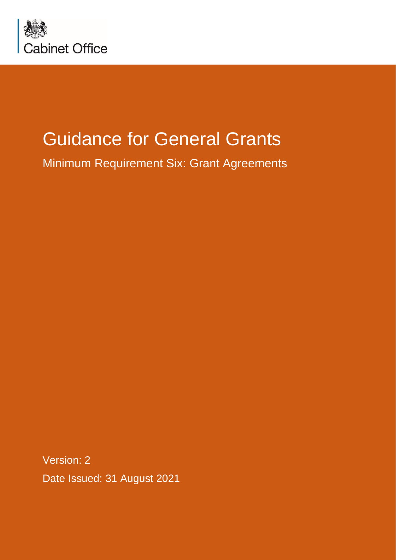

# Guidance for General Grants

Minimum Requirement Six: Grant Agreements

Version: 2 Date Issued: 31 August 2021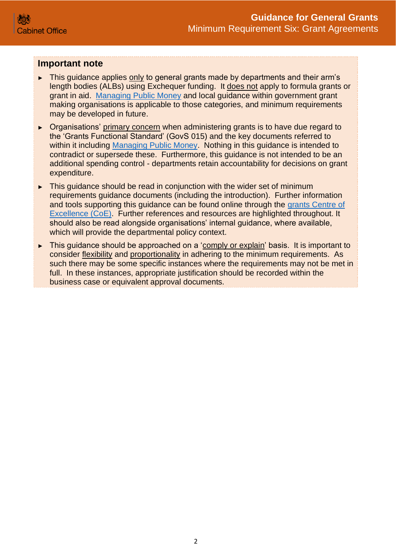#### **Important note**

- ► This guidance applies only to general grants made by departments and their arm's length bodies (ALBs) using Exchequer funding. It does not apply to formula grants or grant in aid. [Managing Public Money](https://www.gov.uk/government/publications/managing-public-money) and local guidance within government grant making organisations is applicable to those categories, and minimum requirements may be developed in future.
- ► Organisations' primary concern when administering grants is to have due regard to the 'Grants Functional Standard' (GovS 015) and the key documents referred to within it including [Managing Public Money.](https://www.gov.uk/government/publications/managing-public-money) Nothing in this guidance is intended to contradict or supersede these. Furthermore, this guidance is not intended to be an additional spending control - departments retain accountability for decisions on grant expenditure.
- ► This guidance should be read in conjunction with the wider set of minimum requirements guidance documents (including the introduction). Further information and tools supporting this guidance can be found online through the [grants Centre of](https://gcoe.civilservice.gov.uk/sign-in/)  [Excellence \(CoE\).](https://gcoe.civilservice.gov.uk/sign-in/) Further references and resources are highlighted throughout. It should also be read alongside organisations' internal guidance, where available, which will provide the departmental policy context.
- ► This guidance should be approached on a 'comply or explain' basis. It is important to consider flexibility and proportionality in adhering to the minimum requirements. As such there may be some specific instances where the requirements may not be met in full. In these instances, appropriate justification should be recorded within the business case or equivalent approval documents.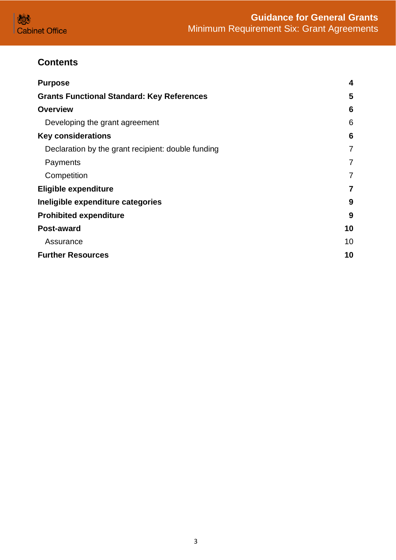# **Contents**

| <b>Purpose</b>                                     | 4              |
|----------------------------------------------------|----------------|
| <b>Grants Functional Standard: Key References</b>  | 5              |
| <b>Overview</b>                                    | 6              |
| Developing the grant agreement                     | 6              |
| <b>Key considerations</b>                          | 6              |
| Declaration by the grant recipient: double funding | $\overline{7}$ |
| Payments                                           | 7              |
| Competition                                        | 7              |
| <b>Eligible expenditure</b>                        | 7              |
| Ineligible expenditure categories                  | 9              |
| <b>Prohibited expenditure</b>                      | 9              |
| <b>Post-award</b>                                  | 10             |
| Assurance                                          | 10             |
| <b>Further Resources</b>                           | 10             |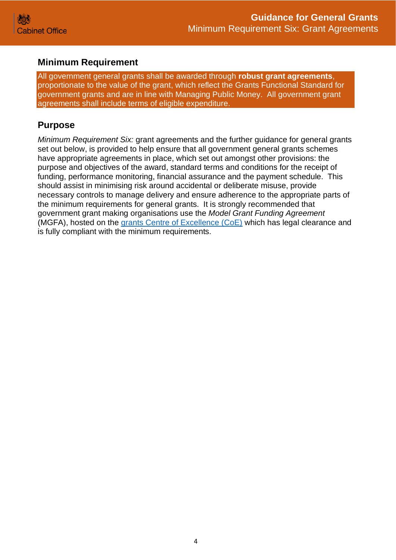## **Minimum Requirement**

All government general grants shall be awarded through **robust grant agreements**, proportionate to the value of the grant, which reflect the Grants Functional Standard for government grants and are in line with Managing Public Money. All government grant agreements shall include terms of eligible expenditure.

# <span id="page-3-0"></span>**Purpose**

*Minimum Requirement Six:* grant agreements and the further guidance for general grants set out below, is provided to help ensure that all government general grants schemes have appropriate agreements in place, which set out amongst other provisions: the purpose and objectives of the award, standard terms and conditions for the receipt of funding, performance monitoring, financial assurance and the payment schedule. This should assist in minimising risk around accidental or deliberate misuse, provide necessary controls to manage delivery and ensure adherence to the appropriate parts of the minimum requirements for general grants. It is strongly recommended that government grant making organisations use the *Model Grant Funding Agreement* (MGFA), hosted on the [grants Centre of Excellence \(CoE\)](https://gcoe.civilservice.gov.uk/wp-login.php) which has legal clearance and is fully compliant with the minimum requirements.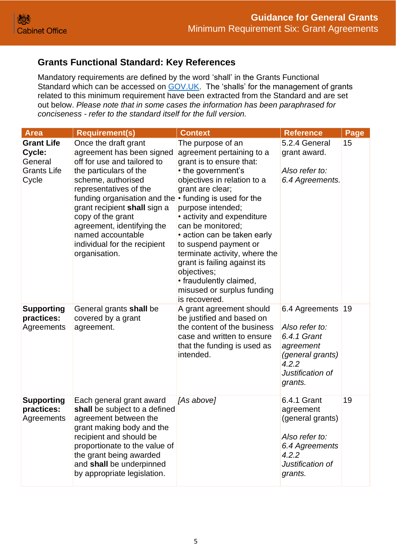# <span id="page-4-0"></span>**Grants Functional Standard: Key References**

Mandatory requirements are defined by the word 'shall' in the Grants Functional Standard which can be accessed on [GOV.UK.](https://www.gov.uk/government/publications/grants-standards/grant-standards) The 'shalls' for the management of grants related to this minimum requirement have been extracted from the Standard and are set out below. *Please note that in some cases the information has been paraphrased for conciseness - refer to the standard itself for the full version.*

| <b>Area</b>                                                           | <b>Requirement(s)</b>                                                                                                                                                                                                                                                                                                                                                               | <b>Context</b>                                                                                                                                                                                                                                                                                                                                                                                                                                | <b>Reference</b>                                                                                                         | Page |
|-----------------------------------------------------------------------|-------------------------------------------------------------------------------------------------------------------------------------------------------------------------------------------------------------------------------------------------------------------------------------------------------------------------------------------------------------------------------------|-----------------------------------------------------------------------------------------------------------------------------------------------------------------------------------------------------------------------------------------------------------------------------------------------------------------------------------------------------------------------------------------------------------------------------------------------|--------------------------------------------------------------------------------------------------------------------------|------|
| <b>Grant Life</b><br>Cycle:<br>General<br><b>Grants Life</b><br>Cycle | Once the draft grant<br>agreement has been signed<br>off for use and tailored to<br>the particulars of the<br>scheme, authorised<br>representatives of the<br>funding organisation and the $\cdot$ funding is used for the<br>grant recipient shall sign a<br>copy of the grant<br>agreement, identifying the<br>named accountable<br>individual for the recipient<br>organisation. | The purpose of an<br>agreement pertaining to a<br>grant is to ensure that:<br>• the government's<br>objectives in relation to a<br>grant are clear;<br>purpose intended;<br>• activity and expenditure<br>can be monitored;<br>• action can be taken early<br>to suspend payment or<br>terminate activity, where the<br>grant is failing against its<br>objectives;<br>• fraudulently claimed,<br>misused or surplus funding<br>is recovered. | 5.2.4 General<br>grant award.<br>Also refer to:<br>6.4 Agreements.                                                       | 15   |
| <b>Supporting</b><br>practices:<br>Agreements                         | General grants shall be<br>covered by a grant<br>agreement.                                                                                                                                                                                                                                                                                                                         | A grant agreement should<br>be justified and based on<br>the content of the business<br>case and written to ensure<br>that the funding is used as<br>intended.                                                                                                                                                                                                                                                                                | 6.4 Agreements<br>Also refer to:<br>6.4.1 Grant<br>agreement<br>(general grants)<br>4.2.2<br>Justification of<br>grants. | 19   |
| <b>Supporting</b><br>practices:<br>Agreements                         | Each general grant award<br>shall be subject to a defined<br>agreement between the<br>grant making body and the<br>recipient and should be<br>proportionate to the value of<br>the grant being awarded<br>and shall be underpinned<br>by appropriate legislation.                                                                                                                   | [As above]                                                                                                                                                                                                                                                                                                                                                                                                                                    | 6.4.1 Grant<br>agreement<br>(general grants)<br>Also refer to:<br>6.4 Agreements<br>4.2.2<br>Justification of<br>grants. | 19   |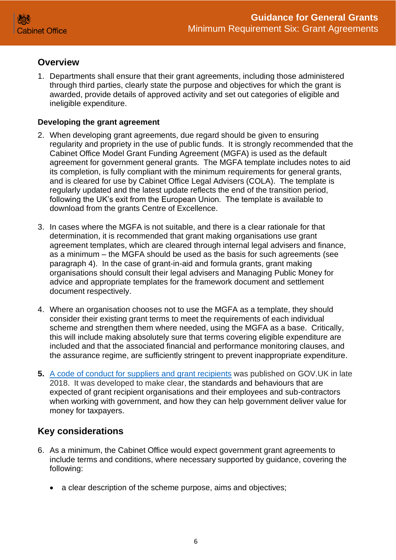## <span id="page-5-0"></span>**Overview**

1. Departments shall ensure that their grant agreements, including those administered through third parties, clearly state the purpose and objectives for which the grant is awarded, provide details of approved activity and set out categories of eligible and ineligible expenditure.

#### <span id="page-5-1"></span>**Developing the grant agreement**

- 2. When developing grant agreements, due regard should be given to ensuring regularity and propriety in the use of public funds. It is strongly recommended that the Cabinet Office Model Grant Funding Agreement (MGFA) is used as the default agreement for government general grants. The MGFA template includes notes to aid its completion, is fully compliant with the minimum requirements for general grants, and is cleared for use by Cabinet Office Legal Advisers (COLA). The template is regularly updated and the latest update reflects the end of the transition period, following the UK's exit from the European Union. The template is available to download from the grants Centre of Excellence.
- 3. In cases where the MGFA is not suitable, and there is a clear rationale for that determination, it is recommended that grant making organisations use grant agreement templates, which are cleared through internal legal advisers and finance, as a minimum – the MGFA should be used as the basis for such agreements (see paragraph 4). In the case of grant-in-aid and formula grants, grant making organisations should consult their legal advisers and Managing Public Money for advice and appropriate templates for the framework document and settlement document respectively.
- 4. Where an organisation chooses not to use the MGFA as a template, they should consider their existing grant terms to meet the requirements of each individual scheme and strengthen them where needed, using the MGFA as a base. Critically, this will include making absolutely sure that terms covering eligible expenditure are included and that the associated financial and performance monitoring clauses, and the assurance regime, are sufficiently stringent to prevent inappropriate expenditure.
- **5.** [A code of conduct for suppliers and grant recipients](https://www.gov.uk/government/publications/supplier-code-of-conduct) was published on GOV.UK in late 2018. It was developed to make clear, the standards and behaviours that are expected of grant recipient organisations and their employees and sub-contractors when working with government, and how they can help government deliver value for money for taxpayers.

# <span id="page-5-2"></span>**Key considerations**

- 6. As a minimum, the Cabinet Office would expect government grant agreements to include terms and conditions, where necessary supported by guidance, covering the following:
	- a clear description of the scheme purpose, aims and objectives;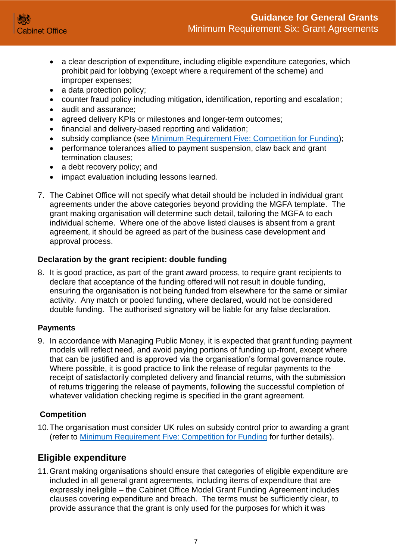- a clear description of expenditure, including eligible expenditure categories, which prohibit paid for lobbying (except where a requirement of the scheme) and improper expenses;
- a data protection policy;
- counter fraud policy including mitigation, identification, reporting and escalation;
- audit and assurance;
- agreed delivery KPIs or milestones and longer-term outcomes;
- financial and delivery-based reporting and validation;
- subsidy compliance (see [Minimum Requirement Five: Competition for Funding\)](https://assets.publishing.service.gov.uk/government/uploads/system/uploads/attachment_data/file/722199/Grants-Standard-FIVE-Competition.pdf);
- performance tolerances allied to payment suspension, claw back and grant termination clauses;
- a debt recovery policy; and
- impact evaluation including lessons learned.
- 7. The Cabinet Office will not specify what detail should be included in individual grant agreements under the above categories beyond providing the MGFA template. The grant making organisation will determine such detail, tailoring the MGFA to each individual scheme. Where one of the above listed clauses is absent from a grant agreement, it should be agreed as part of the business case development and approval process.

### <span id="page-6-0"></span>**Declaration by the grant recipient: double funding**

8. It is good practice, as part of the grant award process, to require grant recipients to declare that acceptance of the funding offered will not result in double funding, ensuring the organisation is not being funded from elsewhere for the same or similar activity. Any match or pooled funding, where declared, would not be considered double funding. The authorised signatory will be liable for any false declaration.

#### <span id="page-6-1"></span>**Payments**

9. In accordance with Managing Public Money, it is expected that grant funding payment models will reflect need, and avoid paying portions of funding up-front, except where that can be justified and is approved via the organisation's formal governance route. Where possible, it is good practice to link the release of regular payments to the receipt of satisfactorily completed delivery and financial returns, with the submission of returns triggering the release of payments, following the successful completion of whatever validation checking regime is specified in the grant agreement.

#### <span id="page-6-2"></span>**Competition**

10.The organisation must consider UK rules on subsidy control prior to awarding a grant (refer to [Minimum Requirement Five: Competition for Funding](https://assets.publishing.service.gov.uk/government/uploads/system/uploads/attachment_data/file/722199/Grants-Standard-FIVE-Competition.pdf) for further details).

# <span id="page-6-3"></span>**Eligible expenditure**

11.Grant making organisations should ensure that categories of eligible expenditure are included in all general grant agreements, including items of expenditure that are expressly ineligible – the Cabinet Office Model Grant Funding Agreement includes clauses covering expenditure and breach. The terms must be sufficiently clear, to provide assurance that the grant is only used for the purposes for which it was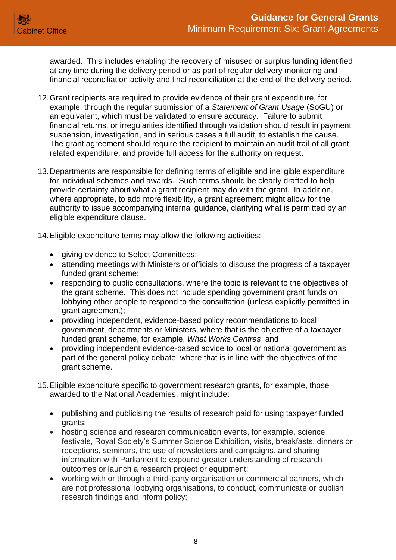

awarded. This includes enabling the recovery of misused or surplus funding identified at any time during the delivery period or as part of regular delivery monitoring and financial reconciliation activity and final reconciliation at the end of the delivery period.

- 12.Grant recipients are required to provide evidence of their grant expenditure, for example, through the regular submission of a *Statement of Grant Usage* (SoGU) or an equivalent, which must be validated to ensure accuracy. Failure to submit financial returns, or irregularities identified through validation should result in payment suspension, investigation, and in serious cases a full audit, to establish the cause. The grant agreement should require the recipient to maintain an audit trail of all grant related expenditure, and provide full access for the authority on request.
- 13.Departments are responsible for defining terms of eligible and ineligible expenditure for individual schemes and awards. Such terms should be clearly drafted to help provide certainty about what a grant recipient may do with the grant. In addition, where appropriate, to add more flexibility, a grant agreement might allow for the authority to issue accompanying internal guidance, clarifying what is permitted by an eligible expenditure clause.
- 14.Eligible expenditure terms may allow the following activities:
	- giving evidence to Select Committees;
	- attending meetings with Ministers or officials to discuss the progress of a taxpayer funded grant scheme;
	- responding to public consultations, where the topic is relevant to the objectives of the grant scheme. This does not include spending government grant funds on lobbying other people to respond to the consultation (unless explicitly permitted in grant agreement);
	- providing independent, evidence-based policy recommendations to local government, departments or Ministers, where that is the objective of a taxpayer funded grant scheme, for example, *What Works Centres*; and
	- providing independent evidence-based advice to local or national government as part of the general policy debate, where that is in line with the objectives of the grant scheme.
- 15.Eligible expenditure specific to government research grants, for example, those awarded to the National Academies, might include:
	- publishing and publicising the results of research paid for using taxpayer funded grants;
	- hosting science and research communication events, for example, science festivals, Royal Society's Summer Science Exhibition, visits, breakfasts, dinners or receptions, seminars, the use of newsletters and campaigns, and sharing information with Parliament to expound greater understanding of research outcomes or launch a research project or equipment;
	- working with or through a third-party organisation or commercial partners, which are not professional lobbying organisations, to conduct, communicate or publish research findings and inform policy;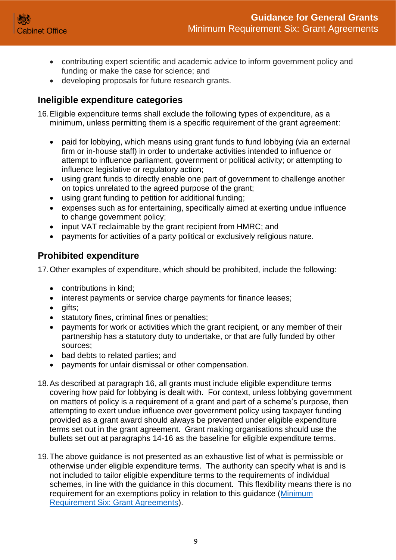

- contributing expert scientific and academic advice to inform government policy and funding or make the case for science; and
- developing proposals for future research grants.

# <span id="page-8-0"></span>**Ineligible expenditure categories**

16.Eligible expenditure terms shall exclude the following types of expenditure, as a minimum, unless permitting them is a specific requirement of the grant agreement:

- paid for lobbying, which means using grant funds to fund lobbying (via an external firm or in-house staff) in order to undertake activities intended to influence or attempt to influence parliament, government or political activity; or attempting to influence legislative or regulatory action;
- using grant funds to directly enable one part of government to challenge another on topics unrelated to the agreed purpose of the grant;
- using grant funding to petition for additional funding;
- expenses such as for entertaining, specifically aimed at exerting undue influence to change government policy;
- input VAT reclaimable by the grant recipient from HMRC; and
- payments for activities of a party political or exclusively religious nature.

## <span id="page-8-1"></span>**Prohibited expenditure**

17.Other examples of expenditure, which should be prohibited, include the following:

- contributions in kind:
- interest payments or service charge payments for finance leases;
- gifts:
- statutory fines, criminal fines or penalties;
- payments for work or activities which the grant recipient, or any member of their partnership has a statutory duty to undertake, or that are fully funded by other sources;
- bad debts to related parties; and
- payments for unfair dismissal or other compensation.
- 18.As described at paragraph 16, all grants must include eligible expenditure terms covering how paid for lobbying is dealt with. For context, unless lobbying government on matters of policy is a requirement of a grant and part of a scheme's purpose, then attempting to exert undue influence over government policy using taxpayer funding provided as a grant award should always be prevented under eligible expenditure terms set out in the grant agreement. Grant making organisations should use the bullets set out at paragraphs 14-16 as the baseline for eligible expenditure terms.
- 19.The above guidance is not presented as an exhaustive list of what is permissible or otherwise under eligible expenditure terms. The authority can specify what is and is not included to tailor eligible expenditure terms to the requirements of individual schemes, in line with the guidance in this document. This flexibility means there is no requirement for an exemptions policy in relation to this guidance (Minimum [Requirement Six: Grant Agreements\)](https://assets.publishing.service.gov.uk/government/uploads/system/uploads/attachment_data/file/896341/Grants-Standard-SIX-Grant-Agreements.pdf).